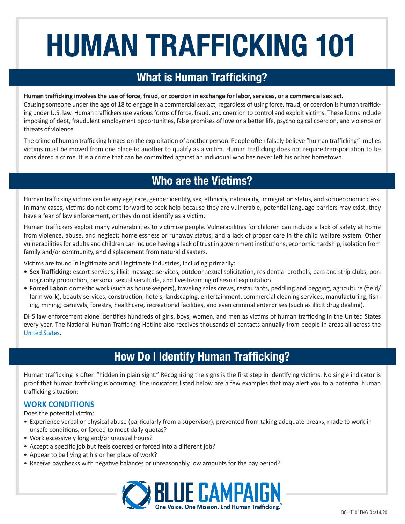# **HUMAN TRAFFICKING 101**

# **What is Human Trafficking?**

#### **Human trafficking involves the use of force, fraud, or coercion in exchange for labor, services, or a commercial sex act.**

Causing someone under the age of 18 to engage in a commercial sex act, regardless of using force, fraud, or coercion is human trafficking under U.S. law. Human traffickers use various forms of force, fraud, and coercion to control and exploit victims. These forms include imposing of debt, fraudulent employment opportunities, false promises of love or a better life, psychological coercion, and violence or threats of violence.

The crime of human trafficking hinges on the exploitation of another person. People often falsely believe "human trafficking" implies victims must be moved from one place to another to qualify as a victim. Human trafficking does not require transportation to be considered a crime. It is a crime that can be committed against an individual who has never left his or her hometown.

## **Who are the Victims?**

Human trafficking victims can be any age, race, gender identity, sex, ethnicity, nationality, immigration status, and socioeconomic class. In many cases, victims do not come forward to seek help because they are vulnerable, potential language barriers may exist, they have a fear of law enforcement, or they do not identify as a victim.

Human traffickers exploit many vulnerabilities to victimize people. Vulnerabilities for children can include a lack of safety at home from violence, abuse, and neglect; homelessness or runaway status; and a lack of proper care in the child welfare system. Other vulnerabilities for adults and children can include having a lack of trust in government institutions, economic hardship, isolation from family and/or community, and displacement from natural disasters.

Victims are found in legitimate and illegitimate industries, including primarily:

- **• Sex Trafficking:** escort services, illicit massage services, outdoor sexual solicitation, residential brothels, bars and strip clubs, pornography production, personal sexual servitude, and livestreaming of sexual exploitation.
- **• Forced Labor:** domestic work (such as housekeepers), traveling sales crews, restaurants, peddling and begging, agriculture (field/ farm work), beauty services, construction, hotels, landscaping, entertainment, commercial cleaning services, manufacturing, fishing, mining, carnivals, forestry, healthcare, recreational facilities, and even criminal enterprises (such as illicit drug dealing).

DHS law enforcement alone identifies hundreds of girls, boys, women, and men as victims of human trafficking in the United States every year. The National Human Trafficking Hotline also receives thousands of contacts annually from people in areas all across the [United States](https://humantraffickinghotline.org/states).

# **How Do I Identify Human Trafficking?**

Human trafficking is often "hidden in plain sight." Recognizing the signs is the first step in identifying victims. No single indicator is proof that human trafficking is occurring. The indicators listed below are a few examples that may alert you to a potential human trafficking situation:

## **WORK CONDITIONS**

Does the potential victim:

- Experience verbal or physical abuse (particularly from a supervisor), prevented from taking adequate breaks, made to work in unsafe conditions, or forced to meet daily quotas?
- Work excessively long and/or unusual hours?
- Accept a specific job but feels coerced or forced into a different job?
- Appear to be living at his or her place of work?
- Receive paychecks with negative balances or unreasonably low amounts for the pay period?